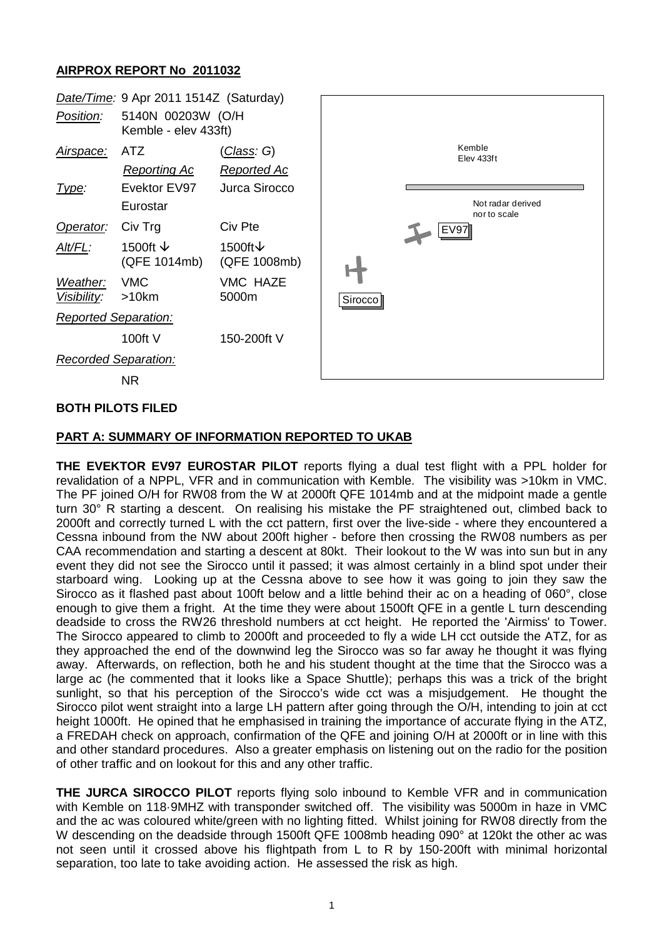## **AIRPROX REPORT No 2011032**



### **BOTH PILOTS FILED**

### **PART A: SUMMARY OF INFORMATION REPORTED TO UKAB**

**THE EVEKTOR EV97 EUROSTAR PILOT** reports flying a dual test flight with a PPL holder for revalidation of a NPPL, VFR and in communication with Kemble. The visibility was >10km in VMC. The PF joined O/H for RW08 from the W at 2000ft QFE 1014mb and at the midpoint made a gentle turn 30° R starting a descent. On realising his mistake the PF straightened out, climbed back to 2000ft and correctly turned L with the cct pattern, first over the live-side - where they encountered a Cessna inbound from the NW about 200ft higher - before then crossing the RW08 numbers as per CAA recommendation and starting a descent at 80kt. Their lookout to the W was into sun but in any event they did not see the Sirocco until it passed; it was almost certainly in a blind spot under their starboard wing. Looking up at the Cessna above to see how it was going to join they saw the Sirocco as it flashed past about 100ft below and a little behind their ac on a heading of 060°, close enough to give them a fright. At the time they were about 1500ft QFE in a gentle L turn descending deadside to cross the RW26 threshold numbers at cct height. He reported the 'Airmiss' to Tower. The Sirocco appeared to climb to 2000ft and proceeded to fly a wide LH cct outside the ATZ, for as they approached the end of the downwind leg the Sirocco was so far away he thought it was flying away. Afterwards, on reflection, both he and his student thought at the time that the Sirocco was a large ac (he commented that it looks like a Space Shuttle); perhaps this was a trick of the bright sunlight, so that his perception of the Sirocco's wide cct was a misjudgement. He thought the Sirocco pilot went straight into a large LH pattern after going through the O/H, intending to join at cct height 1000ft. He opined that he emphasised in training the importance of accurate flying in the ATZ, a FREDAH check on approach, confirmation of the QFE and joining O/H at 2000ft or in line with this and other standard procedures. Also a greater emphasis on listening out on the radio for the position of other traffic and on lookout for this and any other traffic.

**THE JURCA SIROCCO PILOT** reports flying solo inbound to Kemble VFR and in communication with Kemble on 118·9MHZ with transponder switched off. The visibility was 5000m in haze in VMC and the ac was coloured white/green with no lighting fitted. Whilst joining for RW08 directly from the W descending on the deadside through 1500ft QFE 1008mb heading 090° at 120kt the other ac was not seen until it crossed above his flightpath from L to R by 150-200ft with minimal horizontal separation, too late to take avoiding action. He assessed the risk as high.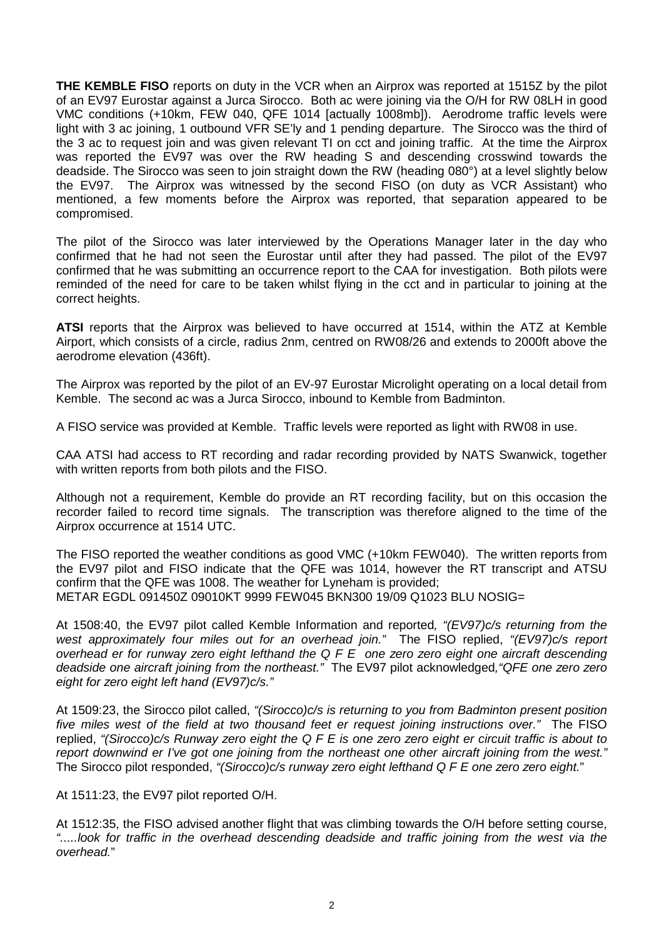**THE KEMBLE FISO** reports on duty in the VCR when an Airprox was reported at 1515Z by the pilot of an EV97 Eurostar against a Jurca Sirocco. Both ac were joining via the O/H for RW 08LH in good VMC conditions (+10km, FEW 040, QFE 1014 [actually 1008mb]). Aerodrome traffic levels were light with 3 ac joining, 1 outbound VFR SE'ly and 1 pending departure. The Sirocco was the third of the 3 ac to request join and was given relevant TI on cct and joining traffic. At the time the Airprox was reported the EV97 was over the RW heading S and descending crosswind towards the deadside. The Sirocco was seen to join straight down the RW (heading 080°) at a level slightly below the EV97. The Airprox was witnessed by the second FISO (on duty as VCR Assistant) who mentioned, a few moments before the Airprox was reported, that separation appeared to be compromised.

The pilot of the Sirocco was later interviewed by the Operations Manager later in the day who confirmed that he had not seen the Eurostar until after they had passed. The pilot of the EV97 confirmed that he was submitting an occurrence report to the CAA for investigation. Both pilots were reminded of the need for care to be taken whilst flying in the cct and in particular to joining at the correct heights.

**ATSI** reports that the Airprox was believed to have occurred at 1514, within the ATZ at Kemble Airport, which consists of a circle, radius 2nm, centred on RW08/26 and extends to 2000ft above the aerodrome elevation (436ft).

The Airprox was reported by the pilot of an EV-97 Eurostar Microlight operating on a local detail from Kemble. The second ac was a Jurca Sirocco, inbound to Kemble from Badminton.

A FISO service was provided at Kemble. Traffic levels were reported as light with RW08 in use.

CAA ATSI had access to RT recording and radar recording provided by NATS Swanwick, together with written reports from both pilots and the FISO.

Although not a requirement, Kemble do provide an RT recording facility, but on this occasion the recorder failed to record time signals. The transcription was therefore aligned to the time of the Airprox occurrence at 1514 UTC.

The FISO reported the weather conditions as good VMC (+10km FEW040). The written reports from the EV97 pilot and FISO indicate that the QFE was 1014, however the RT transcript and ATSU confirm that the QFE was 1008. The weather for Lyneham is provided; METAR EGDL 091450Z 09010KT 9999 FEW045 BKN300 19/09 Q1023 BLU NOSIG=

At 1508:40, the EV97 pilot called Kemble Information and reported*, "(EV97)c/s returning from the west approximately four miles out for an overhead join."* The FISO replied, *"(EV97)c/s report overhead er for runway zero eight lefthand the Q F E one zero zero eight one aircraft descending deadside one aircraft joining from the northeast."* The EV97 pilot acknowledged*,"QFE one zero zero eight for zero eight left hand (EV97)c/s."*

At 1509:23, the Sirocco pilot called, *"(Sirocco)c/s is returning to you from Badminton present position five miles west of the field at two thousand feet er request joining instructions over."* The FISO replied, *"(Sirocco)c/s Runway zero eight the Q F E is one zero zero eight er circuit traffic is about to report downwind er I've got one joining from the northeast one other aircraft joining from the west."* The Sirocco pilot responded, *"(Sirocco)c/s runway zero eight lefthand Q F E one zero zero eight.*"

At 1511:23, the EV97 pilot reported O/H.

At 1512:35, the FISO advised another flight that was climbing towards the O/H before setting course, *".....look for traffic in the overhead descending deadside and traffic joining from the west via the overhead.*"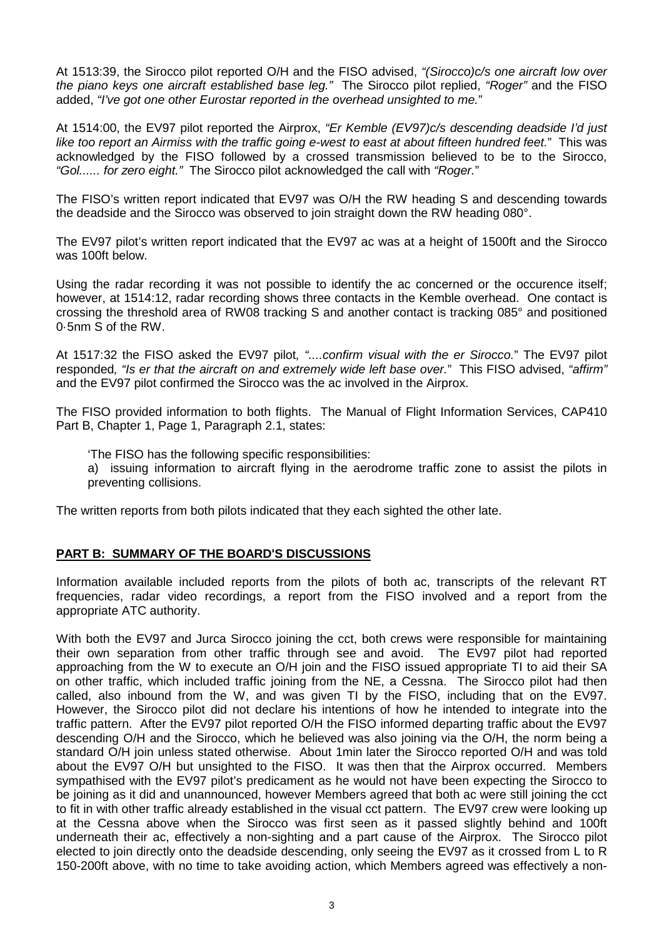At 1513:39, the Sirocco pilot reported O/H and the FISO advised, *"(Sirocco)c/s one aircraft low over the piano keys one aircraft established base leg."* The Sirocco pilot replied, *"Roger"* and the FISO added, *"I've got one other Eurostar reported in the overhead unsighted to me.*"

At 1514:00, the EV97 pilot reported the Airprox, *"Er Kemble (EV97)c/s descending deadside I'd just like too report an Airmiss with the traffic going e-west to east at about fifteen hundred feet.*" This was acknowledged by the FISO followed by a crossed transmission believed to be to the Sirocco, *"Gol...... for zero eight."* The Sirocco pilot acknowledged the call with *"Roger.*"

The FISO's written report indicated that EV97 was O/H the RW heading S and descending towards the deadside and the Sirocco was observed to join straight down the RW heading 080°.

The EV97 pilot's written report indicated that the EV97 ac was at a height of 1500ft and the Sirocco was 100ft below.

Using the radar recording it was not possible to identify the ac concerned or the occurence itself; however, at 1514:12, radar recording shows three contacts in the Kemble overhead. One contact is crossing the threshold area of RW08 tracking S and another contact is tracking 085° and positioned 0·5nm S of the RW.

At 1517:32 the FISO asked the EV97 pilot*, "....confirm visual with the er Sirocco.*" The EV97 pilot responded*, "Is er that the aircraft on and extremely wide left base over.*" This FISO advised, *"affirm"* and the EV97 pilot confirmed the Sirocco was the ac involved in the Airprox.

The FISO provided information to both flights. The Manual of Flight Information Services, CAP410 Part B, Chapter 1, Page 1, Paragraph 2.1, states:

'The FISO has the following specific responsibilities:

a) issuing information to aircraft flying in the aerodrome traffic zone to assist the pilots in preventing collisions.

The written reports from both pilots indicated that they each sighted the other late.

### **PART B: SUMMARY OF THE BOARD'S DISCUSSIONS**

Information available included reports from the pilots of both ac, transcripts of the relevant RT frequencies, radar video recordings, a report from the FISO involved and a report from the appropriate ATC authority.

With both the EV97 and Jurca Sirocco joining the cct, both crews were responsible for maintaining their own separation from other traffic through see and avoid. The EV97 pilot had reported approaching from the W to execute an O/H join and the FISO issued appropriate TI to aid their SA on other traffic, which included traffic joining from the NE, a Cessna. The Sirocco pilot had then called, also inbound from the W, and was given TI by the FISO, including that on the EV97. However, the Sirocco pilot did not declare his intentions of how he intended to integrate into the traffic pattern. After the EV97 pilot reported O/H the FISO informed departing traffic about the EV97 descending O/H and the Sirocco, which he believed was also joining via the O/H, the norm being a standard O/H join unless stated otherwise. About 1min later the Sirocco reported O/H and was told about the EV97 O/H but unsighted to the FISO. It was then that the Airprox occurred. Members sympathised with the EV97 pilot's predicament as he would not have been expecting the Sirocco to be joining as it did and unannounced, however Members agreed that both ac were still joining the cct to fit in with other traffic already established in the visual cct pattern. The EV97 crew were looking up at the Cessna above when the Sirocco was first seen as it passed slightly behind and 100ft underneath their ac, effectively a non-sighting and a part cause of the Airprox. The Sirocco pilot elected to join directly onto the deadside descending, only seeing the EV97 as it crossed from L to R 150-200ft above, with no time to take avoiding action, which Members agreed was effectively a non